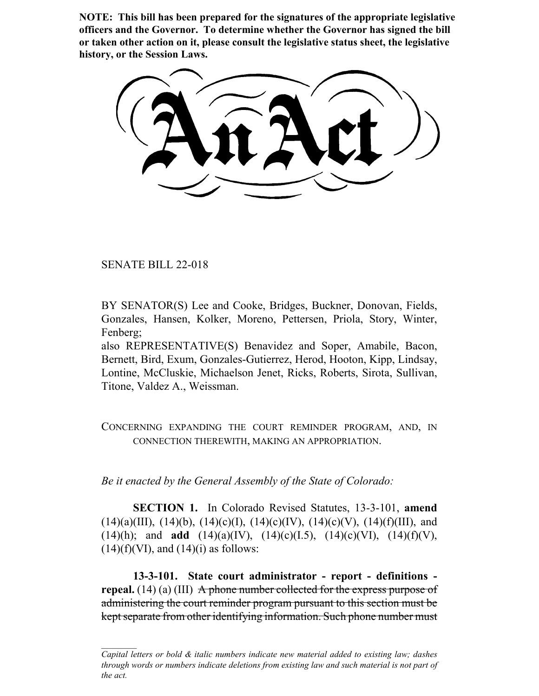**NOTE: This bill has been prepared for the signatures of the appropriate legislative officers and the Governor. To determine whether the Governor has signed the bill or taken other action on it, please consult the legislative status sheet, the legislative history, or the Session Laws.**

SENATE BILL 22-018

BY SENATOR(S) Lee and Cooke, Bridges, Buckner, Donovan, Fields, Gonzales, Hansen, Kolker, Moreno, Pettersen, Priola, Story, Winter, Fenberg;

also REPRESENTATIVE(S) Benavidez and Soper, Amabile, Bacon, Bernett, Bird, Exum, Gonzales-Gutierrez, Herod, Hooton, Kipp, Lindsay, Lontine, McCluskie, Michaelson Jenet, Ricks, Roberts, Sirota, Sullivan, Titone, Valdez A., Weissman.

CONCERNING EXPANDING THE COURT REMINDER PROGRAM, AND, IN CONNECTION THEREWITH, MAKING AN APPROPRIATION.

*Be it enacted by the General Assembly of the State of Colorado:*

**SECTION 1.** In Colorado Revised Statutes, 13-3-101, **amend**  $(14)(a)(III)$ ,  $(14)(b)$ ,  $(14)(c)(I)$ ,  $(14)(c)(IV)$ ,  $(14)(c)(V)$ ,  $(14)(f)(III)$ , and (14)(h); and **add** (14)(a)(IV), (14)(c)(I.5), (14)(c)(VI), (14)(f)(V),  $(14)(f)(V)$ , and  $(14)(i)$  as follows:

**13-3-101. State court administrator - report - definitions repeal.** (14) (a) (III) A phone number collected for the express purpose of administering the court reminder program pursuant to this section must be kept separate from other identifying information. Such phone number must

*Capital letters or bold & italic numbers indicate new material added to existing law; dashes through words or numbers indicate deletions from existing law and such material is not part of the act.*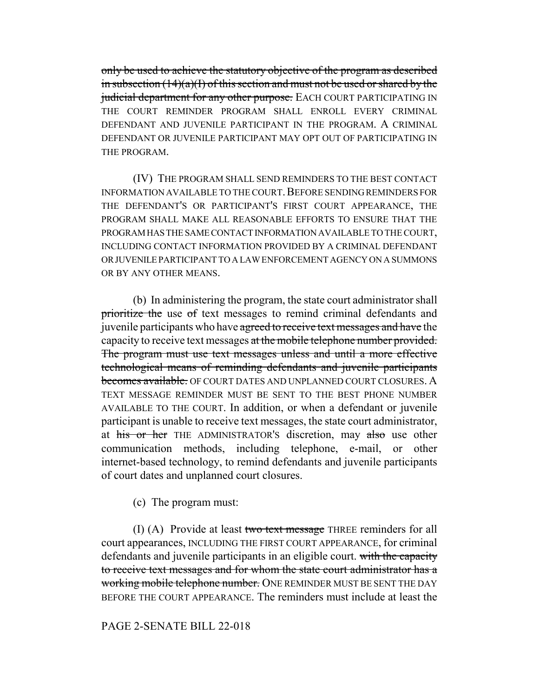only be used to achieve the statutory objective of the program as described in subsection  $(14)(a)(I)$  of this section and must not be used or shared by the judicial department for any other purpose. EACH COURT PARTICIPATING IN THE COURT REMINDER PROGRAM SHALL ENROLL EVERY CRIMINAL DEFENDANT AND JUVENILE PARTICIPANT IN THE PROGRAM. A CRIMINAL DEFENDANT OR JUVENILE PARTICIPANT MAY OPT OUT OF PARTICIPATING IN THE PROGRAM.

(IV) THE PROGRAM SHALL SEND REMINDERS TO THE BEST CONTACT INFORMATION AVAILABLE TO THE COURT.BEFORE SENDING REMINDERS FOR THE DEFENDANT'S OR PARTICIPANT'S FIRST COURT APPEARANCE, THE PROGRAM SHALL MAKE ALL REASONABLE EFFORTS TO ENSURE THAT THE PROGRAM HAS THE SAME CONTACT INFORMATION AVAILABLE TO THE COURT, INCLUDING CONTACT INFORMATION PROVIDED BY A CRIMINAL DEFENDANT OR JUVENILE PARTICIPANT TO A LAW ENFORCEMENT AGENCY ON A SUMMONS OR BY ANY OTHER MEANS.

(b) In administering the program, the state court administrator shall prioritize the use of text messages to remind criminal defendants and juvenile participants who have agreed to receive text messages and have the capacity to receive text messages at the mobile telephone number provided. The program must use text messages unless and until a more effective technological means of reminding defendants and juvenile participants becomes available. OF COURT DATES AND UNPLANNED COURT CLOSURES. A TEXT MESSAGE REMINDER MUST BE SENT TO THE BEST PHONE NUMBER AVAILABLE TO THE COURT. In addition, or when a defendant or juvenile participant is unable to receive text messages, the state court administrator, at his or her THE ADMINISTRATOR's discretion, may also use other communication methods, including telephone, e-mail, or other internet-based technology, to remind defendants and juvenile participants of court dates and unplanned court closures.

(c) The program must:

(I) (A) Provide at least two text message THREE reminders for all court appearances, INCLUDING THE FIRST COURT APPEARANCE, for criminal defendants and juvenile participants in an eligible court. with the capacity to receive text messages and for whom the state court administrator has a working mobile telephone number. ONE REMINDER MUST BE SENT THE DAY BEFORE THE COURT APPEARANCE. The reminders must include at least the

# PAGE 2-SENATE BILL 22-018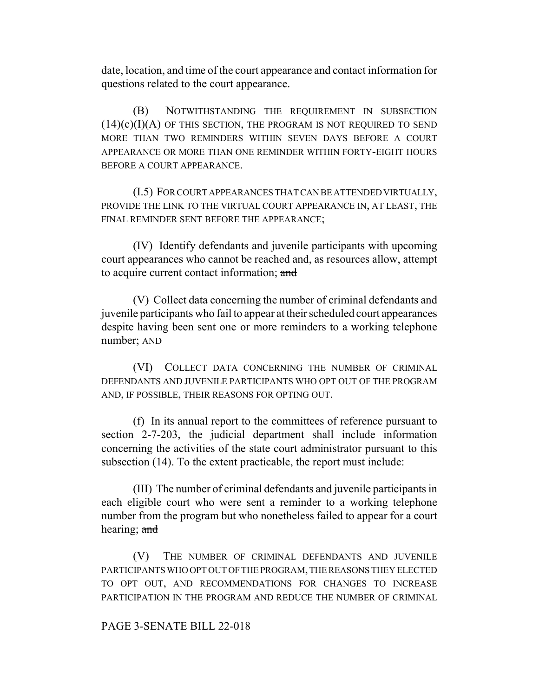date, location, and time of the court appearance and contact information for questions related to the court appearance.

(B) NOTWITHSTANDING THE REQUIREMENT IN SUBSECTION  $(14)(c)(I)(A)$  of this section, the program is not required to send MORE THAN TWO REMINDERS WITHIN SEVEN DAYS BEFORE A COURT APPEARANCE OR MORE THAN ONE REMINDER WITHIN FORTY-EIGHT HOURS BEFORE A COURT APPEARANCE.

(I.5) FOR COURT APPEARANCES THAT CAN BE ATTENDED VIRTUALLY, PROVIDE THE LINK TO THE VIRTUAL COURT APPEARANCE IN, AT LEAST, THE FINAL REMINDER SENT BEFORE THE APPEARANCE;

(IV) Identify defendants and juvenile participants with upcoming court appearances who cannot be reached and, as resources allow, attempt to acquire current contact information; and

(V) Collect data concerning the number of criminal defendants and juvenile participants who fail to appear at their scheduled court appearances despite having been sent one or more reminders to a working telephone number; AND

(VI) COLLECT DATA CONCERNING THE NUMBER OF CRIMINAL DEFENDANTS AND JUVENILE PARTICIPANTS WHO OPT OUT OF THE PROGRAM AND, IF POSSIBLE, THEIR REASONS FOR OPTING OUT.

(f) In its annual report to the committees of reference pursuant to section 2-7-203, the judicial department shall include information concerning the activities of the state court administrator pursuant to this subsection (14). To the extent practicable, the report must include:

(III) The number of criminal defendants and juvenile participants in each eligible court who were sent a reminder to a working telephone number from the program but who nonetheless failed to appear for a court hearing; and

(V) THE NUMBER OF CRIMINAL DEFENDANTS AND JUVENILE PARTICIPANTS WHO OPT OUT OF THE PROGRAM, THE REASONS THEY ELECTED TO OPT OUT, AND RECOMMENDATIONS FOR CHANGES TO INCREASE PARTICIPATION IN THE PROGRAM AND REDUCE THE NUMBER OF CRIMINAL

## PAGE 3-SENATE BILL 22-018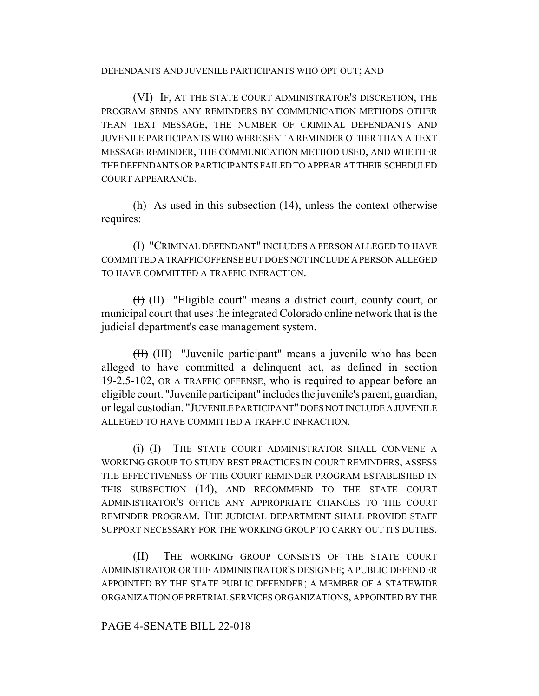#### DEFENDANTS AND JUVENILE PARTICIPANTS WHO OPT OUT; AND

(VI) IF, AT THE STATE COURT ADMINISTRATOR'S DISCRETION, THE PROGRAM SENDS ANY REMINDERS BY COMMUNICATION METHODS OTHER THAN TEXT MESSAGE, THE NUMBER OF CRIMINAL DEFENDANTS AND JUVENILE PARTICIPANTS WHO WERE SENT A REMINDER OTHER THAN A TEXT MESSAGE REMINDER, THE COMMUNICATION METHOD USED, AND WHETHER THE DEFENDANTS OR PARTICIPANTS FAILED TO APPEAR AT THEIR SCHEDULED COURT APPEARANCE.

(h) As used in this subsection (14), unless the context otherwise requires:

(I) "CRIMINAL DEFENDANT" INCLUDES A PERSON ALLEGED TO HAVE COMMITTED A TRAFFIC OFFENSE BUT DOES NOT INCLUDE A PERSON ALLEGED TO HAVE COMMITTED A TRAFFIC INFRACTION.

(I) (II) "Eligible court" means a district court, county court, or municipal court that uses the integrated Colorado online network that is the judicial department's case management system.

(II) (III) "Juvenile participant" means a juvenile who has been alleged to have committed a delinquent act, as defined in section 19-2.5-102, OR A TRAFFIC OFFENSE, who is required to appear before an eligible court. "Juvenile participant" includes the juvenile's parent, guardian, or legal custodian. "JUVENILE PARTICIPANT" DOES NOT INCLUDE A JUVENILE ALLEGED TO HAVE COMMITTED A TRAFFIC INFRACTION.

(i) (I) THE STATE COURT ADMINISTRATOR SHALL CONVENE A WORKING GROUP TO STUDY BEST PRACTICES IN COURT REMINDERS, ASSESS THE EFFECTIVENESS OF THE COURT REMINDER PROGRAM ESTABLISHED IN THIS SUBSECTION (14), AND RECOMMEND TO THE STATE COURT ADMINISTRATOR'S OFFICE ANY APPROPRIATE CHANGES TO THE COURT REMINDER PROGRAM. THE JUDICIAL DEPARTMENT SHALL PROVIDE STAFF SUPPORT NECESSARY FOR THE WORKING GROUP TO CARRY OUT ITS DUTIES.

(II) THE WORKING GROUP CONSISTS OF THE STATE COURT ADMINISTRATOR OR THE ADMINISTRATOR'S DESIGNEE; A PUBLIC DEFENDER APPOINTED BY THE STATE PUBLIC DEFENDER; A MEMBER OF A STATEWIDE ORGANIZATION OF PRETRIAL SERVICES ORGANIZATIONS, APPOINTED BY THE

## PAGE 4-SENATE BILL 22-018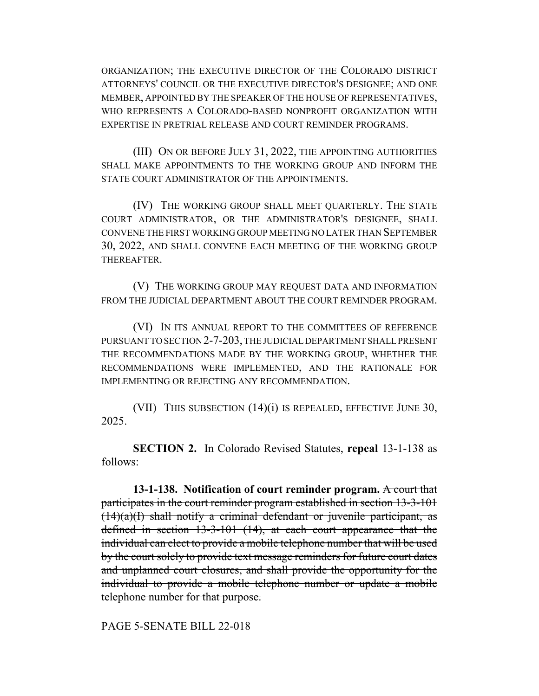ORGANIZATION; THE EXECUTIVE DIRECTOR OF THE COLORADO DISTRICT ATTORNEYS' COUNCIL OR THE EXECUTIVE DIRECTOR'S DESIGNEE; AND ONE MEMBER, APPOINTED BY THE SPEAKER OF THE HOUSE OF REPRESENTATIVES, WHO REPRESENTS A COLORADO-BASED NONPROFIT ORGANIZATION WITH EXPERTISE IN PRETRIAL RELEASE AND COURT REMINDER PROGRAMS.

(III) ON OR BEFORE JULY 31, 2022, THE APPOINTING AUTHORITIES SHALL MAKE APPOINTMENTS TO THE WORKING GROUP AND INFORM THE STATE COURT ADMINISTRATOR OF THE APPOINTMENTS.

(IV) THE WORKING GROUP SHALL MEET QUARTERLY. THE STATE COURT ADMINISTRATOR, OR THE ADMINISTRATOR'S DESIGNEE, SHALL CONVENE THE FIRST WORKING GROUP MEETING NO LATER THAN SEPTEMBER 30, 2022, AND SHALL CONVENE EACH MEETING OF THE WORKING GROUP THEREAFTER.

(V) THE WORKING GROUP MAY REQUEST DATA AND INFORMATION FROM THE JUDICIAL DEPARTMENT ABOUT THE COURT REMINDER PROGRAM.

(VI) IN ITS ANNUAL REPORT TO THE COMMITTEES OF REFERENCE PURSUANT TO SECTION 2-7-203, THE JUDICIAL DEPARTMENT SHALL PRESENT THE RECOMMENDATIONS MADE BY THE WORKING GROUP, WHETHER THE RECOMMENDATIONS WERE IMPLEMENTED, AND THE RATIONALE FOR IMPLEMENTING OR REJECTING ANY RECOMMENDATION.

(VII) THIS SUBSECTION (14)(i) IS REPEALED, EFFECTIVE JUNE 30, 2025.

**SECTION 2.** In Colorado Revised Statutes, **repeal** 13-1-138 as follows:

**13-1-138. Notification of court reminder program.** A court that participates in the court reminder program established in section 13-3-101  $(14)(a)(I)$  shall notify a criminal defendant or juvenile participant, as defined in section 13-3-101 (14), at each court appearance that the individual can elect to provide a mobile telephone number that will be used by the court solely to provide text message reminders for future court dates and unplanned court closures, and shall provide the opportunity for the individual to provide a mobile telephone number or update a mobile telephone number for that purpose.

PAGE 5-SENATE BILL 22-018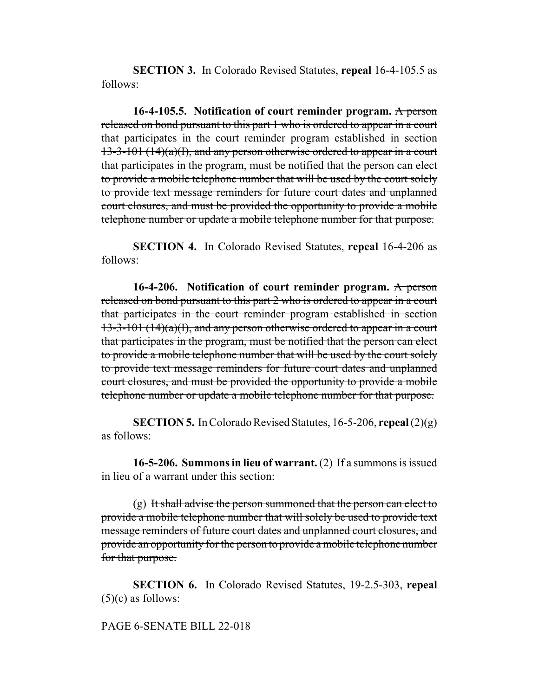**SECTION 3.** In Colorado Revised Statutes, **repeal** 16-4-105.5 as follows:

**16-4-105.5. Notification of court reminder program.** A person released on bond pursuant to this part 1 who is ordered to appear in a court that participates in the court reminder program established in section 13-3-101 (14)(a)(I), and any person otherwise ordered to appear in a court that participates in the program, must be notified that the person can elect to provide a mobile telephone number that will be used by the court solely to provide text message reminders for future court dates and unplanned court closures, and must be provided the opportunity to provide a mobile telephone number or update a mobile telephone number for that purpose.

**SECTION 4.** In Colorado Revised Statutes, **repeal** 16-4-206 as follows:

**16-4-206. Notification of court reminder program.** A person released on bond pursuant to this part 2 who is ordered to appear in a court that participates in the court reminder program established in section 13-3-101 (14) $(a)(I)$ , and any person otherwise ordered to appear in a court that participates in the program, must be notified that the person can elect to provide a mobile telephone number that will be used by the court solely to provide text message reminders for future court dates and unplanned court closures, and must be provided the opportunity to provide a mobile telephone number or update a mobile telephone number for that purpose.

**SECTION 5.** In Colorado Revised Statutes, 16-5-206, **repeal** (2)(g) as follows:

**16-5-206. Summons in lieu of warrant.** (2) If a summons is issued in lieu of a warrant under this section:

 $(g)$  It shall advise the person summoned that the person can elect to provide a mobile telephone number that will solely be used to provide text message reminders of future court dates and unplanned court closures, and provide an opportunity for the person to provide a mobile telephone number for that purpose.

**SECTION 6.** In Colorado Revised Statutes, 19-2.5-303, **repeal**  $(5)(c)$  as follows:

## PAGE 6-SENATE BILL 22-018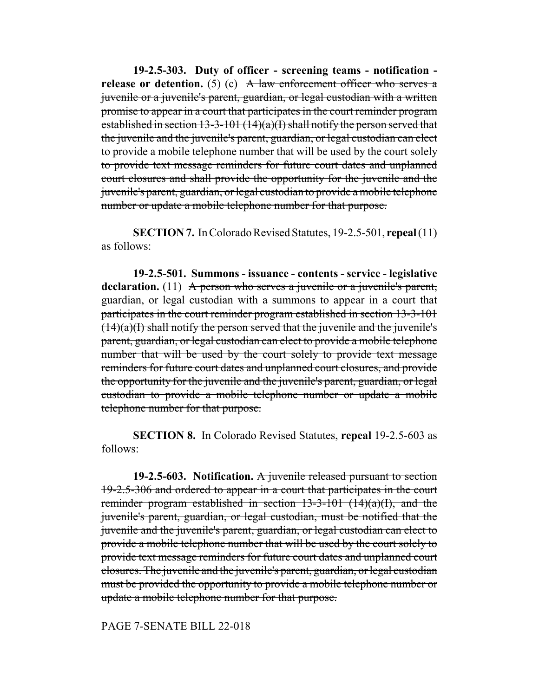**19-2.5-303. Duty of officer - screening teams - notification release or detention.** (5) (c) A law enforcement officer who serves a juvenile or a juvenile's parent, guardian, or legal custodian with a written promise to appear in a court that participates in the court reminder program established in section 13-3-101 (14)(a)(I) shall notify the person served that the juvenile and the juvenile's parent, guardian, or legal custodian can elect to provide a mobile telephone number that will be used by the court solely to provide text message reminders for future court dates and unplanned court closures and shall provide the opportunity for the juvenile and the juvenile's parent, guardian, or legal custodian to provide a mobile telephone number or update a mobile telephone number for that purpose.

**SECTION 7.** In Colorado Revised Statutes, 19-2.5-501, **repeal** (11) as follows:

**19-2.5-501. Summons - issuance - contents - service - legislative** declaration. (11) A person who serves a juvenile or a juvenile's parent, guardian, or legal custodian with a summons to appear in a court that participates in the court reminder program established in section 13-3-101  $(14)(a)(I)$  shall notify the person served that the juvenile and the juvenile's parent, guardian, or legal custodian can elect to provide a mobile telephone number that will be used by the court solely to provide text message reminders for future court dates and unplanned court closures, and provide the opportunity for the juvenile and the juvenile's parent, guardian, or legal custodian to provide a mobile telephone number or update a mobile telephone number for that purpose.

**SECTION 8.** In Colorado Revised Statutes, **repeal** 19-2.5-603 as follows:

**19-2.5-603. Notification.** A juvenile released pursuant to section 19-2.5-306 and ordered to appear in a court that participates in the court reminder program established in section  $13-3-101$   $(14)(a)(1)$ , and the juvenile's parent, guardian, or legal custodian, must be notified that the juvenile and the juvenile's parent, guardian, or legal custodian can elect to provide a mobile telephone number that will be used by the court solely to provide text message reminders for future court dates and unplanned court closures. The juvenile and the juvenile's parent, guardian, or legal custodian must be provided the opportunity to provide a mobile telephone number or update a mobile telephone number for that purpose.

PAGE 7-SENATE BILL 22-018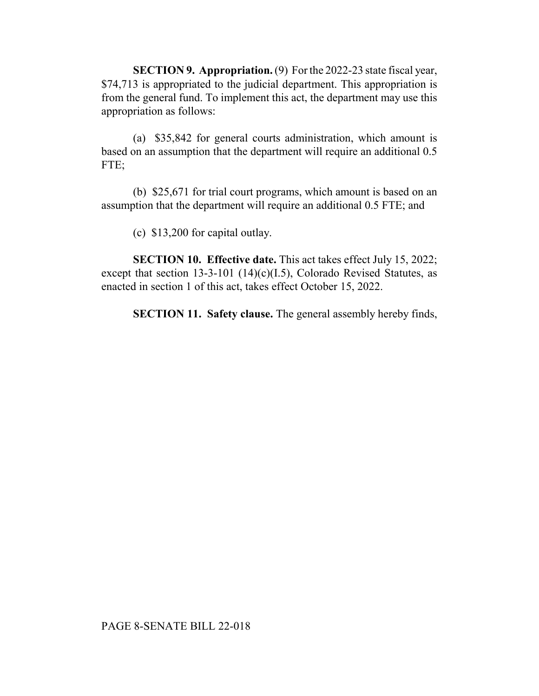**SECTION 9. Appropriation.** (9) For the 2022-23 state fiscal year, \$74,713 is appropriated to the judicial department. This appropriation is from the general fund. To implement this act, the department may use this appropriation as follows:

(a) \$35,842 for general courts administration, which amount is based on an assumption that the department will require an additional 0.5 FTE;

(b) \$25,671 for trial court programs, which amount is based on an assumption that the department will require an additional 0.5 FTE; and

(c) \$13,200 for capital outlay.

**SECTION 10. Effective date.** This act takes effect July 15, 2022; except that section 13-3-101 (14)(c)(I.5), Colorado Revised Statutes, as enacted in section 1 of this act, takes effect October 15, 2022.

**SECTION 11. Safety clause.** The general assembly hereby finds,